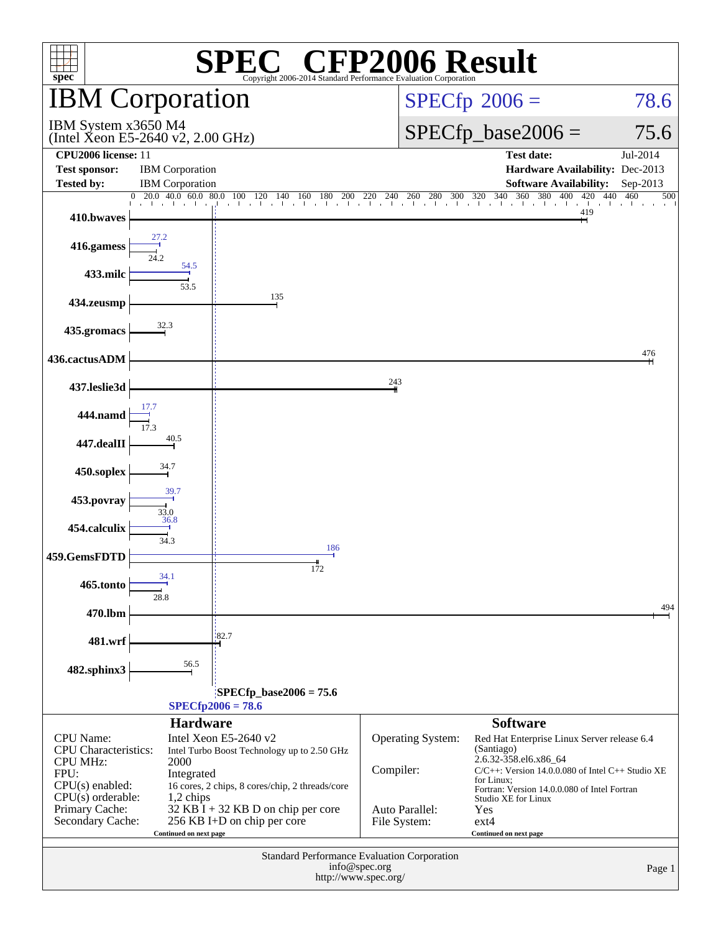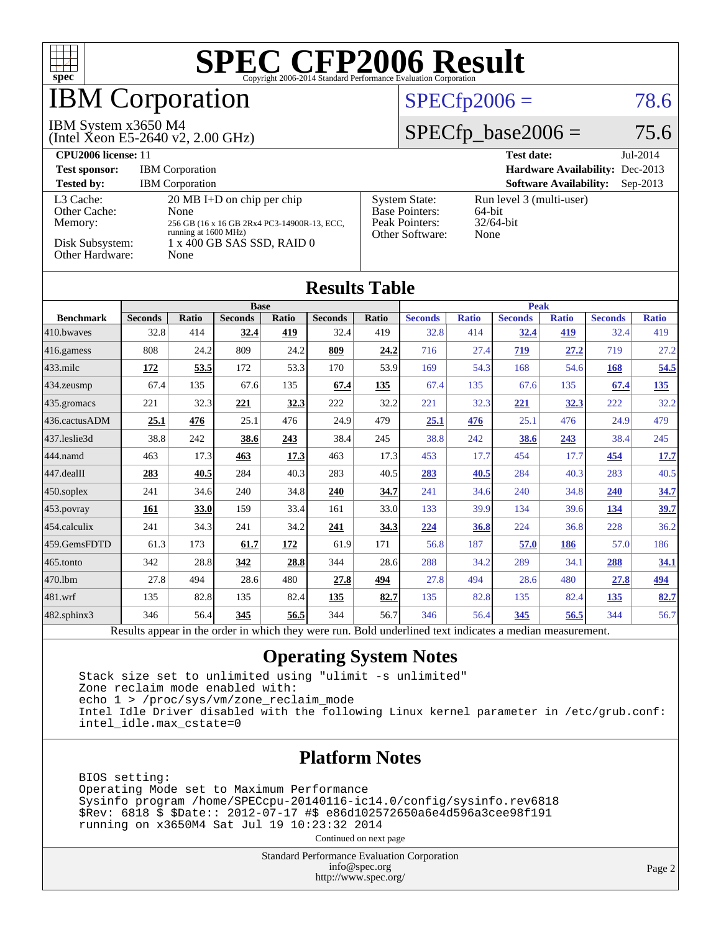

## **BM Corporation**

#### IBM System x3650 M4

(Intel Xeon E5-2640 v2, 2.00 GHz)

#### $SPECfp2006 = 78.6$  $SPECfp2006 = 78.6$

#### $SPECfp\_base2006 = 75.6$

| CPU <sub>2006</sub> license: 11                                            |                                                                                                                                                           |                                                                                    | $Jul-2014$<br><b>Test date:</b>                            |
|----------------------------------------------------------------------------|-----------------------------------------------------------------------------------------------------------------------------------------------------------|------------------------------------------------------------------------------------|------------------------------------------------------------|
| <b>Test sponsor:</b>                                                       | <b>IBM</b> Corporation                                                                                                                                    |                                                                                    | <b>Hardware Availability: Dec-2013</b>                     |
| <b>Tested by:</b>                                                          | <b>IBM</b> Corporation                                                                                                                                    |                                                                                    | <b>Software Availability:</b><br>$Sep-2013$                |
| L3 Cache:<br>Other Cache:<br>Memory:<br>Disk Subsystem:<br>Other Hardware: | $20 \text{ MB I+D}$ on chip per chip<br>None<br>256 GB (16 x 16 GB 2Rx4 PC3-14900R-13, ECC,<br>running at 1600 MHz)<br>1 x 400 GB SAS SSD, RAID 0<br>None | <b>System State:</b><br><b>Base Pointers:</b><br>Peak Pointers:<br>Other Software: | Run level 3 (multi-user)<br>64-bit<br>$32/64$ -bit<br>None |

| <b>Results Table</b> |                                                |              |                                                           |            |                |             |                                               |              |                |              |                |              |
|----------------------|------------------------------------------------|--------------|-----------------------------------------------------------|------------|----------------|-------------|-----------------------------------------------|--------------|----------------|--------------|----------------|--------------|
|                      | <b>Base</b>                                    |              |                                                           |            |                | <b>Peak</b> |                                               |              |                |              |                |              |
| <b>Benchmark</b>     | <b>Seconds</b>                                 | <b>Ratio</b> | <b>Seconds</b>                                            | Ratio      | <b>Seconds</b> | Ratio       | <b>Seconds</b>                                | <b>Ratio</b> | <b>Seconds</b> | <b>Ratio</b> | <b>Seconds</b> | <b>Ratio</b> |
| 410.bwayes           | 32.8                                           | 414          | 32.4                                                      | 419        | 32.4           | 419         | 32.8                                          | 414          | 32.4           | 419          | 32.4           | 419          |
| $416$ .gamess        | 808                                            | 24.2         | 809                                                       | 24.2       | 809            | 24.2        | 716                                           | 27.4         | 719            | 27.2         | 719            | 27.2         |
| $433$ .milc          | 172                                            | 53.5         | 172                                                       | 53.3       | 170            | 53.9        | 169                                           | 54.3         | 168            | 54.6         | 168            | 54.5         |
| 434.zeusmp           | 67.4                                           | 135          | 67.6                                                      | 135        | 67.4           | 135         | 67.4                                          | 135          | 67.6           | 135          | 67.4           | <u>135</u>   |
| $435$ .gromacs       | 221                                            | 32.3         | 221                                                       | 32.3       | 222            | 32.2        | 221                                           | 32.3         | <u>221</u>     | 32.3         | 222            | 32.2         |
| 436.cactusADM        | 25.1                                           | 476          | 25.1                                                      | 476        | 24.9           | 479         | 25.1                                          | 476          | 25.1           | 476          | 24.9           | 479          |
| 437.leslie3d         | 38.8                                           | 242          | 38.6                                                      | 243        | 38.4           | 245         | 38.8                                          | 242          | 38.6           | 243          | 38.4           | 245          |
| 444.namd             | 463                                            | 17.3         | 463                                                       | 17.3       | 463            | 17.3        | 453                                           | 17.7         | 454            | 17.7         | 454            | 17.7         |
| $447$ .dealII        | 283                                            | 40.5         | 284                                                       | 40.3       | 283            | 40.5        | 283                                           | 40.5         | 284            | 40.3         | 283            | 40.5         |
| $450$ .soplex        | 241                                            | 34.6         | 240                                                       | 34.8       | 240            | 34.7        | 241                                           | 34.6         | 240            | 34.8         | 240            | 34.7         |
| $453$ .povray        | 161                                            | 33.0         | 159                                                       | 33.4       | 161            | 33.0        | 133                                           | 39.9         | 134            | 39.6         | <u>134</u>     | 39.7         |
| 454.calculix         | 241                                            | 34.3         | 241                                                       | 34.2       | 241            | 34.3        | 224                                           | 36.8         | 224            | 36.8         | 228            | 36.2         |
| 459.GemsFDTD         | 61.3                                           | 173          | 61.7                                                      | <u>172</u> | 61.9           | 171         | 56.8                                          | 187          | 57.0           | 186          | 57.0           | 186          |
| 465.tonto            | 342                                            | 28.8         | 342                                                       | 28.8       | 344            | 28.6        | 288                                           | 34.2         | 289            | 34.1         | <u>288</u>     | 34.1         |
| 470.1bm              | 27.8                                           | 494          | 28.6                                                      | 480        | 27.8           | 494         | 27.8                                          | 494          | 28.6           | 480          | 27.8           | <u>494</u>   |
| 481.wrf              | 135                                            | 82.8         | 135                                                       | 82.4       | 135            | 82.7        | 135                                           | 82.8         | 135            | 82.4         | <u>135</u>     | 82.7         |
| 482.sphinx3          | 346                                            | 56.4         | 345                                                       | 56.5       | 344            | 56.7        | 346                                           | 56.4         | 345            | 56.5         | 344            | 56.7         |
|                      | $\mathbf{D}$ and $\mathbf{L}$ and $\mathbf{L}$ |              | the state condition the context of a state occupancy more |            |                |             | . Die 14 see deel in dit heeft in die steel e |              | a 41 a se      |              |                |              |

Results appear in the [order in which they were run.](http://www.spec.org/auto/cpu2006/Docs/result-fields.html#RunOrder) Bold underlined text [indicates a median measurement.](http://www.spec.org/auto/cpu2006/Docs/result-fields.html#Median)

#### **[Operating System Notes](http://www.spec.org/auto/cpu2006/Docs/result-fields.html#OperatingSystemNotes)**

 Stack size set to unlimited using "ulimit -s unlimited" Zone reclaim mode enabled with: echo 1 > /proc/sys/vm/zone\_reclaim\_mode Intel Idle Driver disabled with the following Linux kernel parameter in /etc/grub.conf: intel\_idle.max\_cstate=0

#### **[Platform Notes](http://www.spec.org/auto/cpu2006/Docs/result-fields.html#PlatformNotes)**

 BIOS setting: Operating Mode set to Maximum Performance Sysinfo program /home/SPECcpu-20140116-ic14.0/config/sysinfo.rev6818 \$Rev: 6818 \$ \$Date:: 2012-07-17 #\$ e86d102572650a6e4d596a3cee98f191 running on x3650M4 Sat Jul 19 10:23:32 2014

Continued on next page

Standard Performance Evaluation Corporation [info@spec.org](mailto:info@spec.org) <http://www.spec.org/>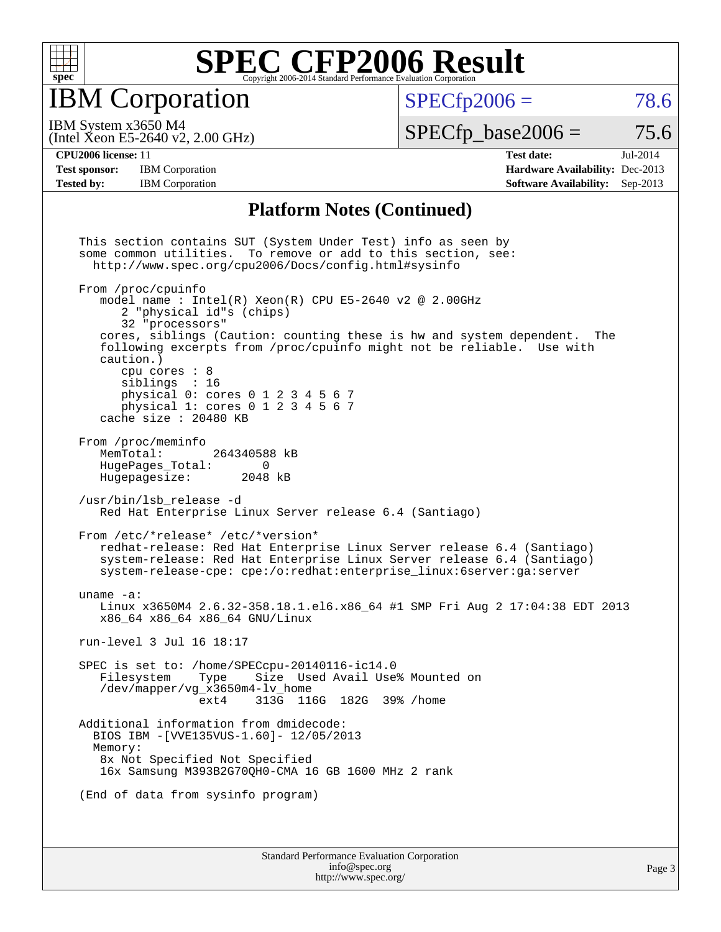

IBM Corporation

 $SPECTp2006 = 78.6$ 

(Intel Xeon E5-2640 v2, 2.00 GHz) IBM System x3650 M4

 $SPECTp\_base2006 = 75.6$ 

Page 3

**[Test sponsor:](http://www.spec.org/auto/cpu2006/Docs/result-fields.html#Testsponsor)** IBM Corporation **[Hardware Availability:](http://www.spec.org/auto/cpu2006/Docs/result-fields.html#HardwareAvailability)** Dec-2013

**[CPU2006 license:](http://www.spec.org/auto/cpu2006/Docs/result-fields.html#CPU2006license)** 11 **[Test date:](http://www.spec.org/auto/cpu2006/Docs/result-fields.html#Testdate)** Jul-2014 **[Tested by:](http://www.spec.org/auto/cpu2006/Docs/result-fields.html#Testedby)** IBM Corporation **[Software Availability:](http://www.spec.org/auto/cpu2006/Docs/result-fields.html#SoftwareAvailability)** Sep-2013

#### **[Platform Notes \(Continued\)](http://www.spec.org/auto/cpu2006/Docs/result-fields.html#PlatformNotes)**

Standard Performance Evaluation Corporation This section contains SUT (System Under Test) info as seen by some common utilities. To remove or add to this section, see: <http://www.spec.org/cpu2006/Docs/config.html#sysinfo> From /proc/cpuinfo model name : Intel $(R)$  Xeon $(R)$  CPU E5-2640 v2 @ 2.00GHz 2 "physical id"s (chips) 32 "processors" cores, siblings (Caution: counting these is hw and system dependent. The following excerpts from /proc/cpuinfo might not be reliable. Use with caution.) cpu cores : 8 siblings : 16 physical 0: cores 0 1 2 3 4 5 6 7 physical 1: cores 0 1 2 3 4 5 6 7 cache size : 20480 KB From /proc/meminfo<br>MemTotal: 264340588 kB HugePages\_Total: 0<br>Hugepagesize: 2048 kB Hugepagesize: /usr/bin/lsb\_release -d Red Hat Enterprise Linux Server release 6.4 (Santiago) From /etc/\*release\* /etc/\*version\* redhat-release: Red Hat Enterprise Linux Server release 6.4 (Santiago) system-release: Red Hat Enterprise Linux Server release 6.4 (Santiago) system-release-cpe: cpe:/o:redhat:enterprise\_linux:6server:ga:server uname -a: Linux x3650M4 2.6.32-358.18.1.el6.x86\_64 #1 SMP Fri Aug 2 17:04:38 EDT 2013 x86\_64 x86\_64 x86\_64 GNU/Linux run-level 3 Jul 16 18:17 SPEC is set to: /home/SPECcpu-20140116-ic14.0 Size Used Avail Use% Mounted on /dev/mapper/vg\_x3650m4-lv\_home ext4 313G 116G 182G 39% /home Additional information from dmidecode: BIOS IBM -[VVE135VUS-1.60]- 12/05/2013 Memory: 8x Not Specified Not Specified 16x Samsung M393B2G70QH0-CMA 16 GB 1600 MHz 2 rank (End of data from sysinfo program)

> [info@spec.org](mailto:info@spec.org) <http://www.spec.org/>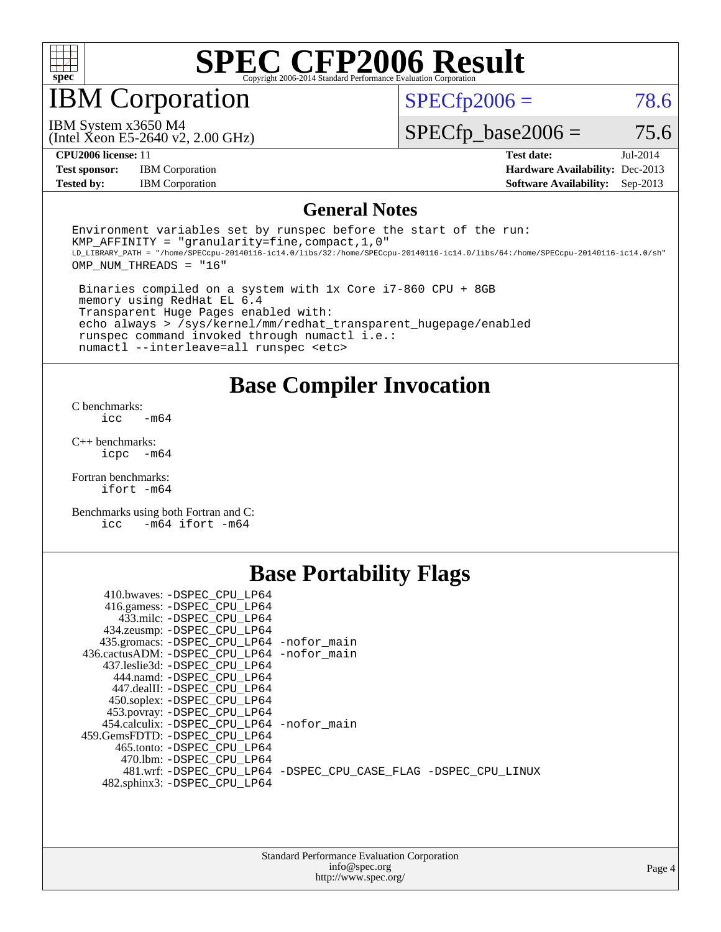

## IBM Corporation

 $SPECTp2006 = 78.6$ 

(Intel Xeon E5-2640 v2, 2.00 GHz) IBM System x3650 M4

 $SPECfp\_base2006 = 75.6$ 

**[Test sponsor:](http://www.spec.org/auto/cpu2006/Docs/result-fields.html#Testsponsor)** IBM Corporation **[Hardware Availability:](http://www.spec.org/auto/cpu2006/Docs/result-fields.html#HardwareAvailability)** Dec-2013

**[CPU2006 license:](http://www.spec.org/auto/cpu2006/Docs/result-fields.html#CPU2006license)** 11 **[Test date:](http://www.spec.org/auto/cpu2006/Docs/result-fields.html#Testdate)** Jul-2014 **[Tested by:](http://www.spec.org/auto/cpu2006/Docs/result-fields.html#Testedby)** IBM Corporation **[Software Availability:](http://www.spec.org/auto/cpu2006/Docs/result-fields.html#SoftwareAvailability)** Sep-2013

#### **[General Notes](http://www.spec.org/auto/cpu2006/Docs/result-fields.html#GeneralNotes)**

Environment variables set by runspec before the start of the run: KMP AFFINITY = "granularity=fine, compact,  $1,0$ " LD\_LIBRARY\_PATH = "/home/SPECcpu-20140116-ic14.0/libs/32:/home/SPECcpu-20140116-ic14.0/libs/64:/home/SPECcpu-20140116-ic14.0/sh" OMP\_NUM\_THREADS = "16"

 Binaries compiled on a system with 1x Core i7-860 CPU + 8GB memory using RedHat EL 6.4 Transparent Huge Pages enabled with: echo always > /sys/kernel/mm/redhat\_transparent\_hugepage/enabled runspec command invoked through numactl i.e.: numactl --interleave=all runspec <etc>

**[Base Compiler Invocation](http://www.spec.org/auto/cpu2006/Docs/result-fields.html#BaseCompilerInvocation)**

[C benchmarks](http://www.spec.org/auto/cpu2006/Docs/result-fields.html#Cbenchmarks):  $\text{icc}$   $-\text{m64}$ 

[C++ benchmarks:](http://www.spec.org/auto/cpu2006/Docs/result-fields.html#CXXbenchmarks) [icpc -m64](http://www.spec.org/cpu2006/results/res2014q3/cpu2006-20140727-30636.flags.html#user_CXXbase_intel_icpc_64bit_bedb90c1146cab66620883ef4f41a67e)

[Fortran benchmarks](http://www.spec.org/auto/cpu2006/Docs/result-fields.html#Fortranbenchmarks): [ifort -m64](http://www.spec.org/cpu2006/results/res2014q3/cpu2006-20140727-30636.flags.html#user_FCbase_intel_ifort_64bit_ee9d0fb25645d0210d97eb0527dcc06e)

[Benchmarks using both Fortran and C](http://www.spec.org/auto/cpu2006/Docs/result-fields.html#BenchmarksusingbothFortranandC): [icc -m64](http://www.spec.org/cpu2006/results/res2014q3/cpu2006-20140727-30636.flags.html#user_CC_FCbase_intel_icc_64bit_0b7121f5ab7cfabee23d88897260401c) [ifort -m64](http://www.spec.org/cpu2006/results/res2014q3/cpu2006-20140727-30636.flags.html#user_CC_FCbase_intel_ifort_64bit_ee9d0fb25645d0210d97eb0527dcc06e)

### **[Base Portability Flags](http://www.spec.org/auto/cpu2006/Docs/result-fields.html#BasePortabilityFlags)**

| 410.bwaves: -DSPEC CPU LP64                 |                                                                |
|---------------------------------------------|----------------------------------------------------------------|
| 416.gamess: -DSPEC_CPU_LP64                 |                                                                |
| 433.milc: -DSPEC CPU LP64                   |                                                                |
| 434.zeusmp: - DSPEC_CPU_LP64                |                                                                |
| 435.gromacs: -DSPEC_CPU_LP64 -nofor_main    |                                                                |
| 436.cactusADM: -DSPEC CPU LP64 -nofor main  |                                                                |
| 437.leslie3d: -DSPEC CPU LP64               |                                                                |
| 444.namd: -DSPEC CPU LP64                   |                                                                |
| 447.dealII: -DSPEC CPU LP64                 |                                                                |
| 450.soplex: -DSPEC_CPU_LP64                 |                                                                |
| 453.povray: -DSPEC_CPU_LP64                 |                                                                |
| 454.calculix: - DSPEC CPU LP64 - nofor main |                                                                |
| 459.GemsFDTD: - DSPEC_CPU LP64              |                                                                |
| 465.tonto: - DSPEC CPU LP64                 |                                                                |
| 470.1bm: - DSPEC CPU LP64                   |                                                                |
|                                             | 481.wrf: -DSPEC CPU_LP64 -DSPEC_CPU_CASE_FLAG -DSPEC_CPU_LINUX |
| 482.sphinx3: -DSPEC_CPU_LP64                |                                                                |
|                                             |                                                                |

| <b>Standard Performance Evaluation Corporation</b> |
|----------------------------------------------------|
| info@spec.org                                      |
| http://www.spec.org/                               |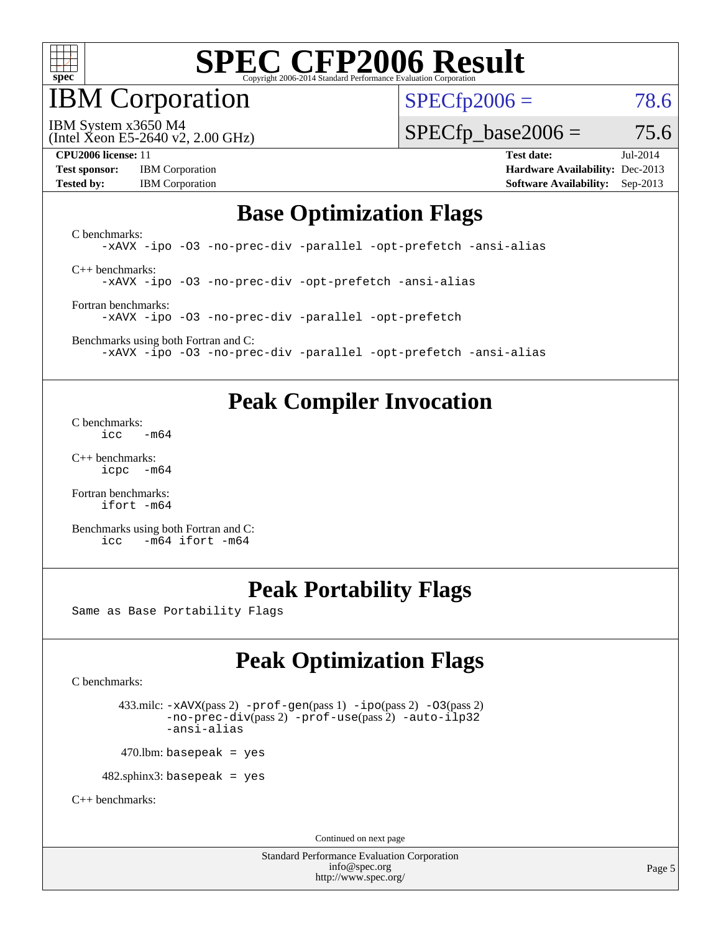

IBM Corporation

 $SPECfp2006 = 78.6$  $SPECfp2006 = 78.6$ 

(Intel Xeon E5-2640 v2, 2.00 GHz) IBM System x3650 M4

 $SPECfp\_base2006 = 75.6$ 

**[Test sponsor:](http://www.spec.org/auto/cpu2006/Docs/result-fields.html#Testsponsor)** IBM Corporation **[Hardware Availability:](http://www.spec.org/auto/cpu2006/Docs/result-fields.html#HardwareAvailability)** Dec-2013

**[CPU2006 license:](http://www.spec.org/auto/cpu2006/Docs/result-fields.html#CPU2006license)** 11 **[Test date:](http://www.spec.org/auto/cpu2006/Docs/result-fields.html#Testdate)** Jul-2014 **[Tested by:](http://www.spec.org/auto/cpu2006/Docs/result-fields.html#Testedby)** IBM Corporation **[Software Availability:](http://www.spec.org/auto/cpu2006/Docs/result-fields.html#SoftwareAvailability)** Sep-2013

#### **[Base Optimization Flags](http://www.spec.org/auto/cpu2006/Docs/result-fields.html#BaseOptimizationFlags)**

[C benchmarks](http://www.spec.org/auto/cpu2006/Docs/result-fields.html#Cbenchmarks): [-xAVX](http://www.spec.org/cpu2006/results/res2014q3/cpu2006-20140727-30636.flags.html#user_CCbase_f-xAVX) [-ipo](http://www.spec.org/cpu2006/results/res2014q3/cpu2006-20140727-30636.flags.html#user_CCbase_f-ipo) [-O3](http://www.spec.org/cpu2006/results/res2014q3/cpu2006-20140727-30636.flags.html#user_CCbase_f-O3) [-no-prec-div](http://www.spec.org/cpu2006/results/res2014q3/cpu2006-20140727-30636.flags.html#user_CCbase_f-no-prec-div) [-parallel](http://www.spec.org/cpu2006/results/res2014q3/cpu2006-20140727-30636.flags.html#user_CCbase_f-parallel) [-opt-prefetch](http://www.spec.org/cpu2006/results/res2014q3/cpu2006-20140727-30636.flags.html#user_CCbase_f-opt-prefetch) [-ansi-alias](http://www.spec.org/cpu2006/results/res2014q3/cpu2006-20140727-30636.flags.html#user_CCbase_f-ansi-alias) [C++ benchmarks:](http://www.spec.org/auto/cpu2006/Docs/result-fields.html#CXXbenchmarks)

[-xAVX](http://www.spec.org/cpu2006/results/res2014q3/cpu2006-20140727-30636.flags.html#user_CXXbase_f-xAVX) [-ipo](http://www.spec.org/cpu2006/results/res2014q3/cpu2006-20140727-30636.flags.html#user_CXXbase_f-ipo) [-O3](http://www.spec.org/cpu2006/results/res2014q3/cpu2006-20140727-30636.flags.html#user_CXXbase_f-O3) [-no-prec-div](http://www.spec.org/cpu2006/results/res2014q3/cpu2006-20140727-30636.flags.html#user_CXXbase_f-no-prec-div) [-opt-prefetch](http://www.spec.org/cpu2006/results/res2014q3/cpu2006-20140727-30636.flags.html#user_CXXbase_f-opt-prefetch) [-ansi-alias](http://www.spec.org/cpu2006/results/res2014q3/cpu2006-20140727-30636.flags.html#user_CXXbase_f-ansi-alias)

[Fortran benchmarks](http://www.spec.org/auto/cpu2006/Docs/result-fields.html#Fortranbenchmarks): [-xAVX](http://www.spec.org/cpu2006/results/res2014q3/cpu2006-20140727-30636.flags.html#user_FCbase_f-xAVX) [-ipo](http://www.spec.org/cpu2006/results/res2014q3/cpu2006-20140727-30636.flags.html#user_FCbase_f-ipo) [-O3](http://www.spec.org/cpu2006/results/res2014q3/cpu2006-20140727-30636.flags.html#user_FCbase_f-O3) [-no-prec-div](http://www.spec.org/cpu2006/results/res2014q3/cpu2006-20140727-30636.flags.html#user_FCbase_f-no-prec-div) [-parallel](http://www.spec.org/cpu2006/results/res2014q3/cpu2006-20140727-30636.flags.html#user_FCbase_f-parallel) [-opt-prefetch](http://www.spec.org/cpu2006/results/res2014q3/cpu2006-20140727-30636.flags.html#user_FCbase_f-opt-prefetch)

[Benchmarks using both Fortran and C](http://www.spec.org/auto/cpu2006/Docs/result-fields.html#BenchmarksusingbothFortranandC): [-xAVX](http://www.spec.org/cpu2006/results/res2014q3/cpu2006-20140727-30636.flags.html#user_CC_FCbase_f-xAVX) [-ipo](http://www.spec.org/cpu2006/results/res2014q3/cpu2006-20140727-30636.flags.html#user_CC_FCbase_f-ipo) [-O3](http://www.spec.org/cpu2006/results/res2014q3/cpu2006-20140727-30636.flags.html#user_CC_FCbase_f-O3) [-no-prec-div](http://www.spec.org/cpu2006/results/res2014q3/cpu2006-20140727-30636.flags.html#user_CC_FCbase_f-no-prec-div) [-parallel](http://www.spec.org/cpu2006/results/res2014q3/cpu2006-20140727-30636.flags.html#user_CC_FCbase_f-parallel) [-opt-prefetch](http://www.spec.org/cpu2006/results/res2014q3/cpu2006-20140727-30636.flags.html#user_CC_FCbase_f-opt-prefetch) [-ansi-alias](http://www.spec.org/cpu2006/results/res2014q3/cpu2006-20140727-30636.flags.html#user_CC_FCbase_f-ansi-alias)

### **[Peak Compiler Invocation](http://www.spec.org/auto/cpu2006/Docs/result-fields.html#PeakCompilerInvocation)**

[C benchmarks](http://www.spec.org/auto/cpu2006/Docs/result-fields.html#Cbenchmarks):  $\text{icc}$  -m64

[C++ benchmarks:](http://www.spec.org/auto/cpu2006/Docs/result-fields.html#CXXbenchmarks) [icpc -m64](http://www.spec.org/cpu2006/results/res2014q3/cpu2006-20140727-30636.flags.html#user_CXXpeak_intel_icpc_64bit_bedb90c1146cab66620883ef4f41a67e)

[Fortran benchmarks](http://www.spec.org/auto/cpu2006/Docs/result-fields.html#Fortranbenchmarks): [ifort -m64](http://www.spec.org/cpu2006/results/res2014q3/cpu2006-20140727-30636.flags.html#user_FCpeak_intel_ifort_64bit_ee9d0fb25645d0210d97eb0527dcc06e)

[Benchmarks using both Fortran and C](http://www.spec.org/auto/cpu2006/Docs/result-fields.html#BenchmarksusingbothFortranandC): [icc -m64](http://www.spec.org/cpu2006/results/res2014q3/cpu2006-20140727-30636.flags.html#user_CC_FCpeak_intel_icc_64bit_0b7121f5ab7cfabee23d88897260401c) [ifort -m64](http://www.spec.org/cpu2006/results/res2014q3/cpu2006-20140727-30636.flags.html#user_CC_FCpeak_intel_ifort_64bit_ee9d0fb25645d0210d97eb0527dcc06e)

## **[Peak Portability Flags](http://www.spec.org/auto/cpu2006/Docs/result-fields.html#PeakPortabilityFlags)**

Same as Base Portability Flags

## **[Peak Optimization Flags](http://www.spec.org/auto/cpu2006/Docs/result-fields.html#PeakOptimizationFlags)**

[C benchmarks](http://www.spec.org/auto/cpu2006/Docs/result-fields.html#Cbenchmarks):

 433.milc: [-xAVX](http://www.spec.org/cpu2006/results/res2014q3/cpu2006-20140727-30636.flags.html#user_peakPASS2_CFLAGSPASS2_LDFLAGS433_milc_f-xAVX)(pass 2) [-prof-gen](http://www.spec.org/cpu2006/results/res2014q3/cpu2006-20140727-30636.flags.html#user_peakPASS1_CFLAGSPASS1_LDFLAGS433_milc_prof_gen_e43856698f6ca7b7e442dfd80e94a8fc)(pass 1) [-ipo](http://www.spec.org/cpu2006/results/res2014q3/cpu2006-20140727-30636.flags.html#user_peakPASS2_CFLAGSPASS2_LDFLAGS433_milc_f-ipo)(pass 2) [-O3](http://www.spec.org/cpu2006/results/res2014q3/cpu2006-20140727-30636.flags.html#user_peakPASS2_CFLAGSPASS2_LDFLAGS433_milc_f-O3)(pass 2) [-no-prec-div](http://www.spec.org/cpu2006/results/res2014q3/cpu2006-20140727-30636.flags.html#user_peakPASS2_CFLAGSPASS2_LDFLAGS433_milc_f-no-prec-div)(pass 2) [-prof-use](http://www.spec.org/cpu2006/results/res2014q3/cpu2006-20140727-30636.flags.html#user_peakPASS2_CFLAGSPASS2_LDFLAGS433_milc_prof_use_bccf7792157ff70d64e32fe3e1250b55)(pass 2) [-auto-ilp32](http://www.spec.org/cpu2006/results/res2014q3/cpu2006-20140727-30636.flags.html#user_peakCOPTIMIZE433_milc_f-auto-ilp32) [-ansi-alias](http://www.spec.org/cpu2006/results/res2014q3/cpu2006-20140727-30636.flags.html#user_peakCOPTIMIZE433_milc_f-ansi-alias)

 $470$ .lbm: basepeak = yes

482.sphinx3: basepeak = yes

[C++ benchmarks:](http://www.spec.org/auto/cpu2006/Docs/result-fields.html#CXXbenchmarks)

Continued on next page

Standard Performance Evaluation Corporation [info@spec.org](mailto:info@spec.org) <http://www.spec.org/>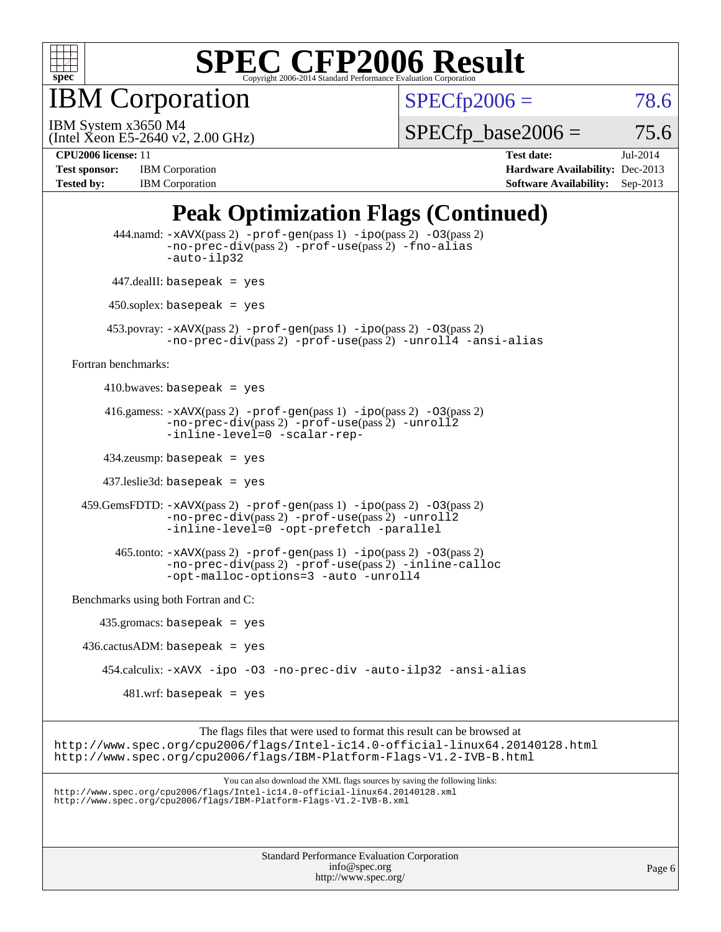

IBM Corporation

 $SPECfp2006 = 78.6$  $SPECfp2006 = 78.6$ 

(Intel Xeon E5-2640 v2, 2.00 GHz) IBM System x3650 M4

 $SPECfp\_base2006 = 75.6$ 

**[Test sponsor:](http://www.spec.org/auto/cpu2006/Docs/result-fields.html#Testsponsor)** IBM Corporation **[Hardware Availability:](http://www.spec.org/auto/cpu2006/Docs/result-fields.html#HardwareAvailability)** Dec-2013 **[Tested by:](http://www.spec.org/auto/cpu2006/Docs/result-fields.html#Testedby)** IBM Corporation **[Software Availability:](http://www.spec.org/auto/cpu2006/Docs/result-fields.html#SoftwareAvailability)** Sep-2013

**[CPU2006 license:](http://www.spec.org/auto/cpu2006/Docs/result-fields.html#CPU2006license)** 11 **[Test date:](http://www.spec.org/auto/cpu2006/Docs/result-fields.html#Testdate)** Jul-2014

## **[Peak Optimization Flags \(Continued\)](http://www.spec.org/auto/cpu2006/Docs/result-fields.html#PeakOptimizationFlags)**

| <b>Standard Performance Evaluation Corporation</b><br>info@spec.org                                                                                                                                                               | Page 6 |
|-----------------------------------------------------------------------------------------------------------------------------------------------------------------------------------------------------------------------------------|--------|
|                                                                                                                                                                                                                                   |        |
| You can also download the XML flags sources by saving the following links:<br>http://www.spec.org/cpu2006/flags/Intel-ic14.0-official-linux64.20140128.xml<br>http://www.spec.org/cpu2006/flags/IBM-Platform-Flags-V1.2-IVB-B.xml |        |
| The flags files that were used to format this result can be browsed at<br>http://www.spec.org/cpu2006/flags/Intel-ic14.0-official-linux64.20140128.html<br>http://www.spec.org/cpu2006/flags/IBM-Platform-Flags-V1.2-IVB-B.html   |        |
| $481$ .wrf: basepeak = yes                                                                                                                                                                                                        |        |
| 454.calculix: -xAVX -ipo -03 -no-prec-div -auto-ilp32 -ansi-alias                                                                                                                                                                 |        |
| $436.cactusADM: basepeak = yes$                                                                                                                                                                                                   |        |
| $435.gromacs: basepeak = yes$                                                                                                                                                                                                     |        |
| Benchmarks using both Fortran and C:                                                                                                                                                                                              |        |
| $465$ .tonto: $-xAVX(pass 2)$ -prof-gen(pass 1) -ipo(pass 2) -03(pass 2)<br>-no-prec-div(pass 2) -prof-use(pass 2) -inline-calloc<br>-opt-malloc-options=3 -auto -unroll4                                                         |        |
| 459. GemsFDTD: -xAVX(pass 2) -prof-gen(pass 1) -ipo(pass 2) -03(pass 2)<br>-no-prec-div(pass 2) -prof-use(pass 2) -unroll2<br>-inline-level=0 -opt-prefetch -parallel                                                             |        |
| $437$ leslie3d: basepeak = yes                                                                                                                                                                                                    |        |
| $434$ .zeusmp: basepeak = yes                                                                                                                                                                                                     |        |
| 416.gamess: $-x$ AVX(pass 2) $-prof-gen(pass 1) -ipo(pass 2) -O3(pass 2)$<br>-no-prec-div(pass 2) -prof-use(pass 2) -unroll2<br>-inline-level=0 -scalar-rep-                                                                      |        |
| $410.bwaves: basepeak = yes$                                                                                                                                                                                                      |        |
| Fortran benchmarks:                                                                                                                                                                                                               |        |
| $453.$ povray: $-xAVX(pass 2)$ -prof-gen $(pass 1)$ -ipo $(pass 2)$ -03 $(pass 2)$<br>-no-prec-div(pass 2) -prof-use(pass 2) -unroll4 -ansi-alias                                                                                 |        |
| $450$ .soplex: basepeak = yes                                                                                                                                                                                                     |        |
| $447$ .dealII: basepeak = yes                                                                                                                                                                                                     |        |
| 444.namd: -xAVX(pass 2) -prof-gen(pass 1) -ipo(pass 2) -03(pass 2)<br>$-no\text{-prec-div}(pass 2)$ -prof-use(pass 2) -fno-alias<br>-auto-ilp32                                                                                   |        |

<http://www.spec.org/>